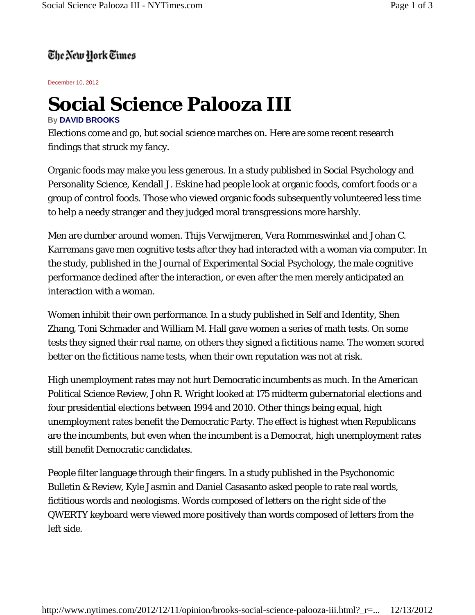## The New Hork Times

December 10, 2012

## **Social Science Palooza III**

## **By DAVID BROOKS**

Elections come and go, but social science marches on. Here are some recent research findings that struck my fancy.

Organic foods may make you less generous. In a study published in Social Psychology and Personality Science, Kendall J. Eskine had people look at organic foods, comfort foods or a group of control foods. Those who viewed organic foods subsequently volunteered less time to help a needy stranger and they judged moral transgressions more harshly.

Men are dumber around women. Thijs Verwijmeren, Vera Rommeswinkel and Johan C. Karremans gave men cognitive tests after they had interacted with a woman via computer. In the study, published in the Journal of Experimental Social Psychology, the male cognitive performance declined after the interaction, or even after the men merely anticipated an interaction with a woman.

Women inhibit their own performance. In a study published in Self and Identity, Shen Zhang, Toni Schmader and William M. Hall gave women a series of math tests. On some tests they signed their real name, on others they signed a fictitious name. The women scored better on the fictitious name tests, when their own reputation was not at risk.

High unemployment rates may not hurt Democratic incumbents as much. In the American Political Science Review, John R. Wright looked at 175 midterm gubernatorial elections and four presidential elections between 1994 and 2010. Other things being equal, high unemployment rates benefit the Democratic Party. The effect is highest when Republicans are the incumbents, but even when the incumbent is a Democrat, high unemployment rates still benefit Democratic candidates.

People filter language through their fingers. In a study published in the Psychonomic Bulletin & Review, Kyle Jasmin and Daniel Casasanto asked people to rate real words, fictitious words and neologisms. Words composed of letters on the right side of the QWERTY keyboard were viewed more positively than words composed of letters from the left side.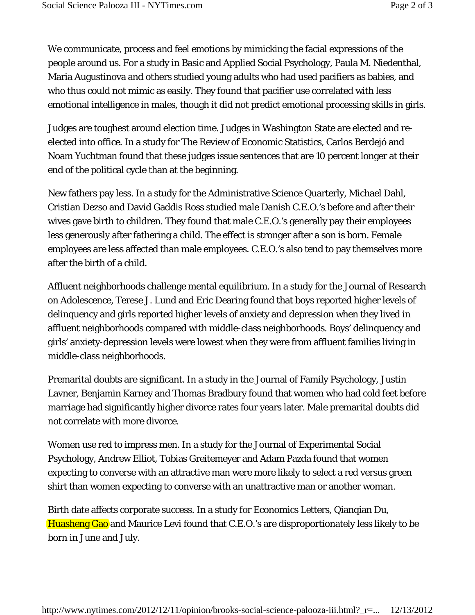We communicate, process and feel emotions by mimicking the facial expressions of the people around us. For a study in Basic and Applied Social Psychology, Paula M. Niedenthal, Maria Augustinova and others studied young adults who had used pacifiers as babies, and who thus could not mimic as easily. They found that pacifier use correlated with less emotional intelligence in males, though it did not predict emotional processing skills in girls.

Judges are toughest around election time. Judges in Washington State are elected and reelected into office. In a study for The Review of Economic Statistics, Carlos Berdejó and Noam Yuchtman found that these judges issue sentences that are 10 percent longer at their end of the political cycle than at the beginning.

New fathers pay less. In a study for the Administrative Science Quarterly, Michael Dahl, Cristian Dezso and David Gaddis Ross studied male Danish C.E.O.'s before and after their wives gave birth to children. They found that male C.E.O.'s generally pay their employees less generously after fathering a child. The effect is stronger after a son is born. Female employees are less affected than male employees. C.E.O.'s also tend to pay themselves more after the birth of a child.

Affluent neighborhoods challenge mental equilibrium. In a study for the Journal of Research on Adolescence, Terese J. Lund and Eric Dearing found that boys reported higher levels of delinquency and girls reported higher levels of anxiety and depression when they lived in affluent neighborhoods compared with middle-class neighborhoods. Boys' delinquency and girls' anxiety-depression levels were lowest when they were from affluent families living in middle-class neighborhoods.

Premarital doubts are significant. In a study in the Journal of Family Psychology, Justin Lavner, Benjamin Karney and Thomas Bradbury found that women who had cold feet before marriage had significantly higher divorce rates four years later. Male premarital doubts did not correlate with more divorce.

Women use red to impress men. In a study for the Journal of Experimental Social Psychology, Andrew Elliot, Tobias Greitemeyer and Adam Pazda found that women expecting to converse with an attractive man were more likely to select a red versus green shirt than women expecting to converse with an unattractive man or another woman.

Birth date affects corporate success. In a study for Economics Letters, Qianqian Du, Huasheng Gao and Maurice Levi found that C.E.O.'s are disproportionately less likely to be born in June and July.